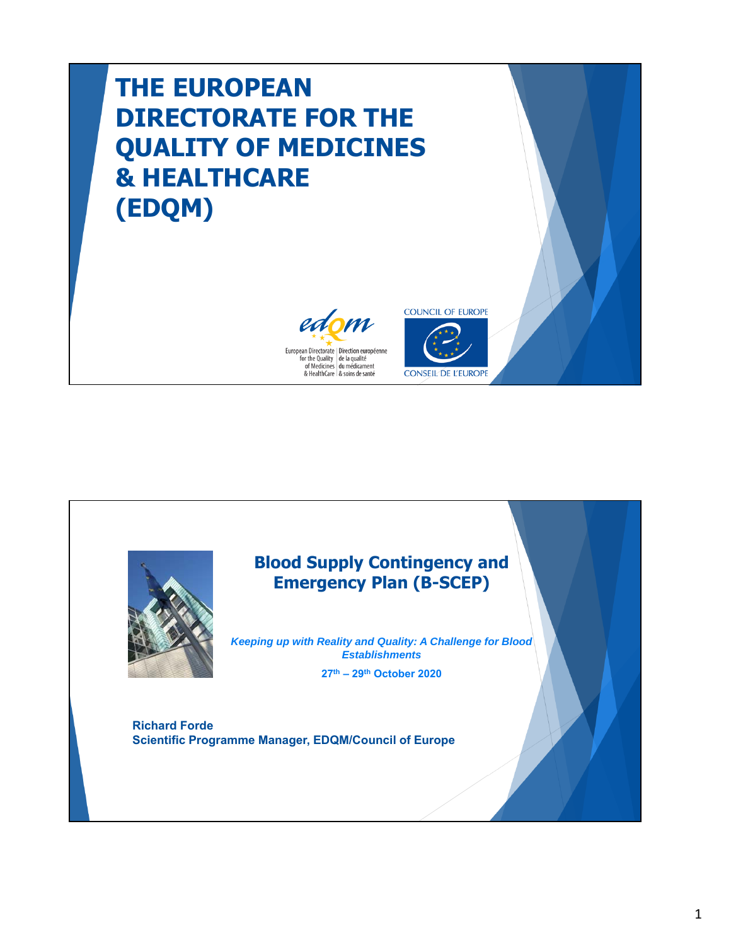## **THE EUROPEAN DIRECTORATE FOR THE QUALITY OF MEDICINES & HEALTHCARE (EDQM)**







## **Blood Supply Contingency and Emergency Plan (B-SCEP)**

*Keeping up with Reality and Quality: A Challenge for Blood Establishments*

**27th – 29th October 2020**

**Richard Forde Scientific Programme Manager, EDQM/Council of Europe**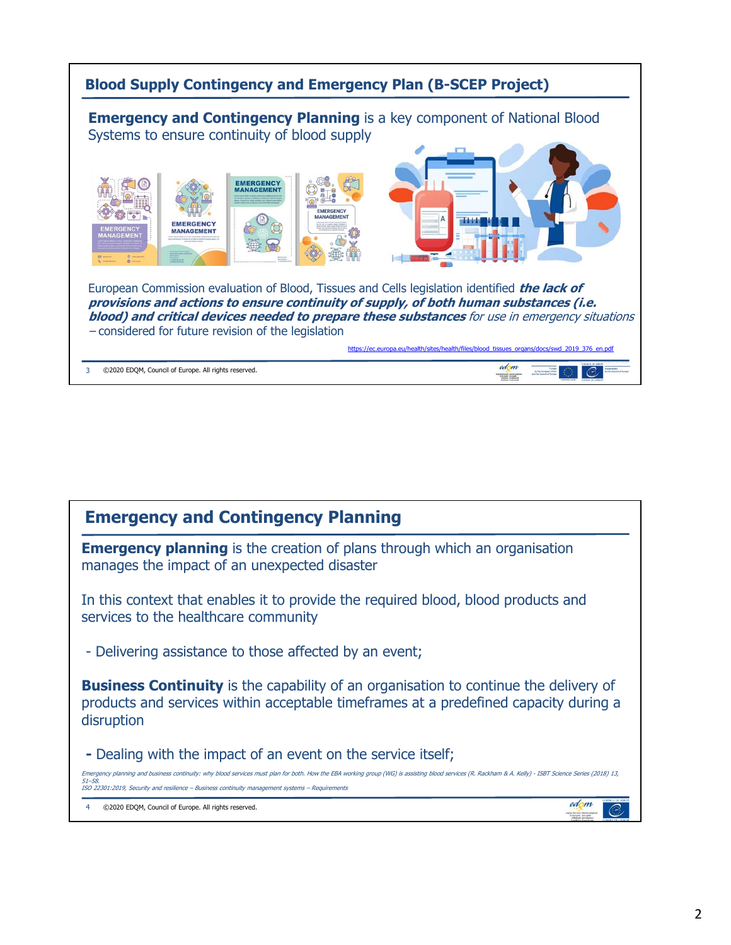

| <b>Emergency and Contingency Planning</b>                                                                                                                                                                                                                                                                              |  |  |  |  |
|------------------------------------------------------------------------------------------------------------------------------------------------------------------------------------------------------------------------------------------------------------------------------------------------------------------------|--|--|--|--|
| <b>Emergency planning</b> is the creation of plans through which an organisation<br>manages the impact of an unexpected disaster                                                                                                                                                                                       |  |  |  |  |
| In this context that enables it to provide the required blood, blood products and<br>services to the healthcare community                                                                                                                                                                                              |  |  |  |  |
| - Delivering assistance to those affected by an event;                                                                                                                                                                                                                                                                 |  |  |  |  |
| <b>Business Continuity</b> is the capability of an organisation to continue the delivery of<br>products and services within acceptable timeframes at a predefined capacity during a<br>disruption                                                                                                                      |  |  |  |  |
| - Dealing with the impact of an event on the service itself;                                                                                                                                                                                                                                                           |  |  |  |  |
| Emergency planning and business continuity: why blood services must plan for both. How the EBA working group (WG) is assisting blood services (R. Rackham & A. Kelly) - ISBT Science Series (2018) 13,<br>$51 - 58$<br>ISO 22301:2019, Security and resilience - Business continuity management systems - Requirements |  |  |  |  |
| ©2020 EDQM, Council of Europe. All rights reserved.                                                                                                                                                                                                                                                                    |  |  |  |  |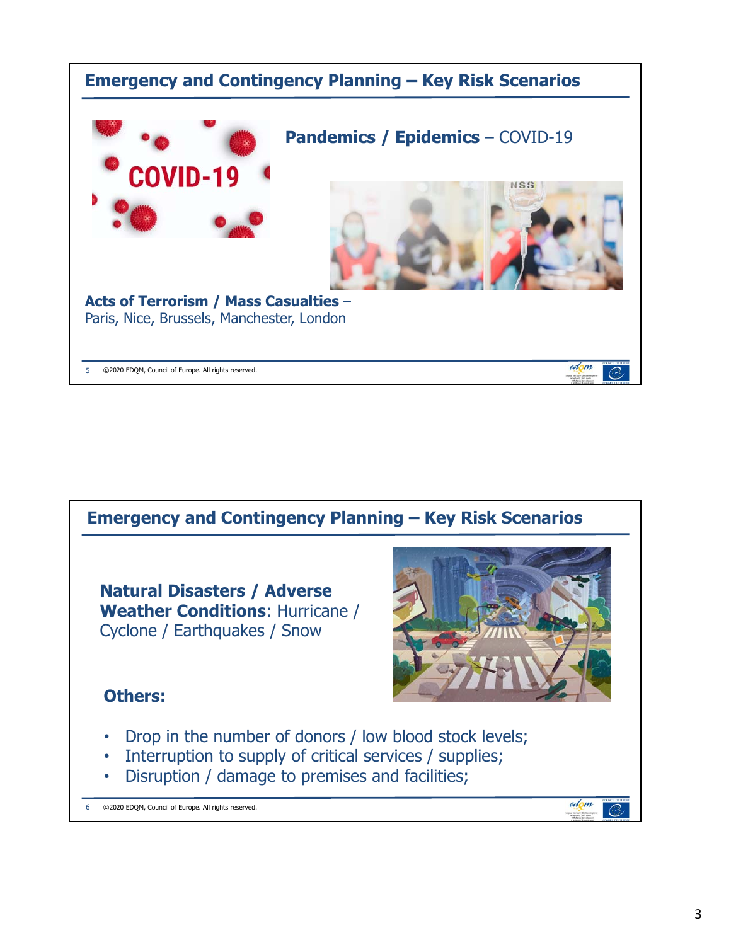

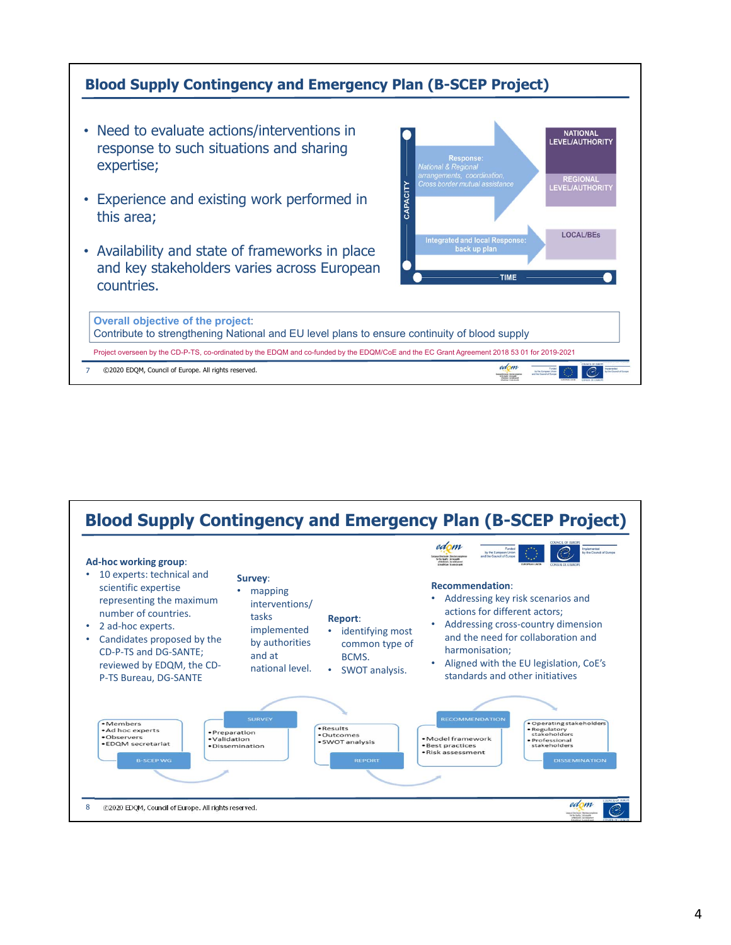

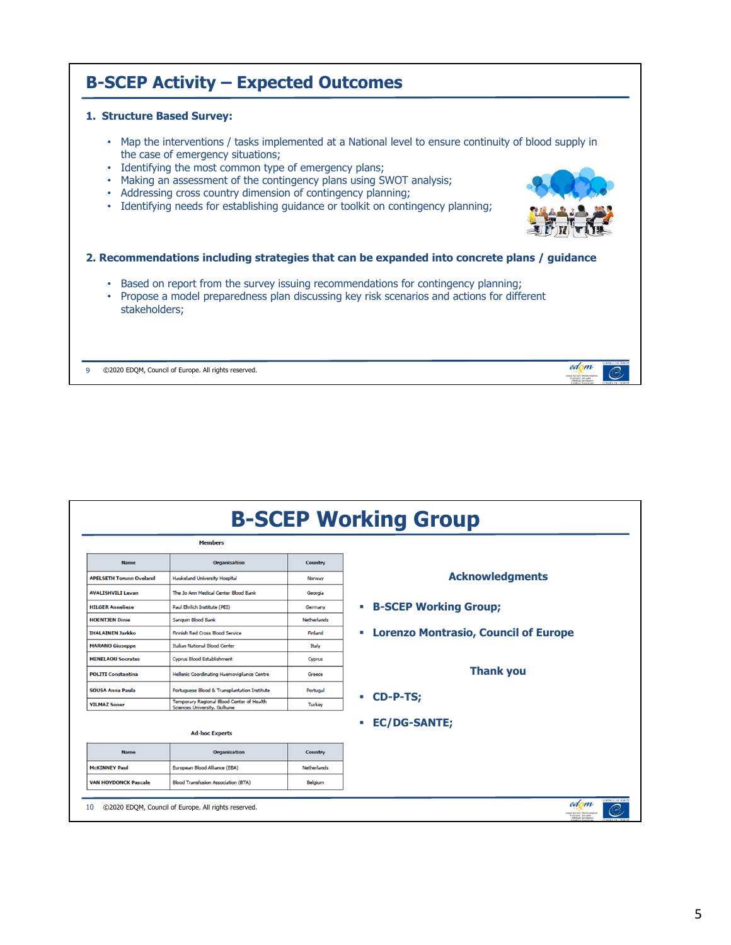

| <b>B-SCEP Working Group</b>    |                                                                           |                    |                                                                               |  |
|--------------------------------|---------------------------------------------------------------------------|--------------------|-------------------------------------------------------------------------------|--|
|                                | <b>Members</b>                                                            |                    |                                                                               |  |
| <b>Name</b>                    | <b>Organisation</b>                                                       | Country            |                                                                               |  |
| <b>APELSETH Torunn Oveland</b> | Haukeland University Hospital                                             | Norway             | <b>Acknowledgments</b>                                                        |  |
| <b>AVALISHVILI Levan</b>       | The Jo Ann Medical Center Blood Bank                                      | Georgia            |                                                                               |  |
| <b>HILGER Anneliese</b>        | Paul Ehrlich Institute (PEI)                                              | Germany            | <b>- B-SCEP Working Group;</b>                                                |  |
| <b>HOENTJEN Dinie</b>          | Sanguin Blood Bank                                                        | <b>Netherlands</b> |                                                                               |  |
| <b>IHALAINEN Jarkko</b>        | <b>Finnish Red Cross Blood Service</b>                                    | Finland            | <b>Lorenzo Montrasio, Council of Europe</b><br>٠                              |  |
| <b>MARANO Giuseppe</b>         | Italian National Blood Center                                             | Italy              |                                                                               |  |
| <b>MENELAOU Socrates</b>       | Cyprus Blood Establishment                                                | Cyprus             |                                                                               |  |
| <b>POLITI Constantina</b>      | Hellenic Coordinating Haemovigilance Centre                               | Greece             | <b>Thank you</b>                                                              |  |
| <b>SOUSA Anna Paula</b>        | Portuguese Blood & Transplantation Institute                              | Portugal           |                                                                               |  |
| <b>YILMAZ Soner</b>            | Temporary Regional Blood Center of Health<br>Sciences University, Gulhane | <b>Turkey</b>      | CD-P-TS;<br>m.                                                                |  |
| <b>Ad-hoc Experts</b>          |                                                                           |                    | <b>EC/DG-SANTE;</b>                                                           |  |
| <b>Name</b>                    | <b>Organisation</b>                                                       | Country            |                                                                               |  |
| <b>McKINNEY Paul</b>           | European Blood Alliance (EBA)                                             | <b>Netherlands</b> |                                                                               |  |
| <b>VAN HOYDONCK Pascale</b>    | <b>Blood Transfusion Association (BTA)</b>                                | Belgium            |                                                                               |  |
| 10                             | ©2020 EDQM, Council of Europe. All rights reserved.                       |                    | THINGH OF HUNT<br>edom<br>pundentwir (Bedause)<br>for the budge (or lequities |  |